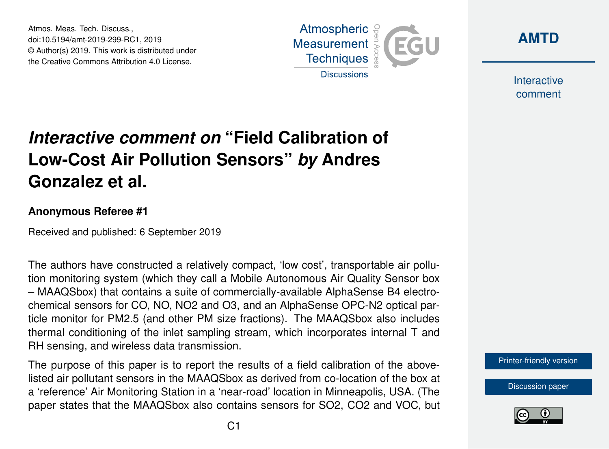Atmos. Meas. Tech. Discuss., doi:10.5194/amt-2019-299-RC1, 2019 © Author(s) 2019. This work is distributed under the Creative Commons Attribution 4.0 License.



**[AMTD](https://www.atmos-meas-tech-discuss.net/)**

**Interactive** comment

## *Interactive comment on* **"Field Calibration of Low-Cost Air Pollution Sensors"** *by* **Andres Gonzalez et al.**

## **Anonymous Referee #1**

Received and published: 6 September 2019

The authors have constructed a relatively compact, 'low cost', transportable air pollution monitoring system (which they call a Mobile Autonomous Air Quality Sensor box – MAAQSbox) that contains a suite of commercially-available AlphaSense B4 electrochemical sensors for CO, NO, NO2 and O3, and an AlphaSense OPC-N2 optical particle monitor for PM2.5 (and other PM size fractions). The MAAQSbox also includes thermal conditioning of the inlet sampling stream, which incorporates internal T and RH sensing, and wireless data transmission.

The purpose of this paper is to report the results of a field calibration of the abovelisted air pollutant sensors in the MAAQSbox as derived from co-location of the box at a 'reference' Air Monitoring Station in a 'near-road' location in Minneapolis, USA. (The paper states that the MAAQSbox also contains sensors for SO2, CO2 and VOC, but [Printer-friendly version](https://www.atmos-meas-tech-discuss.net/amt-2019-299/amt-2019-299-RC1-print.pdf)

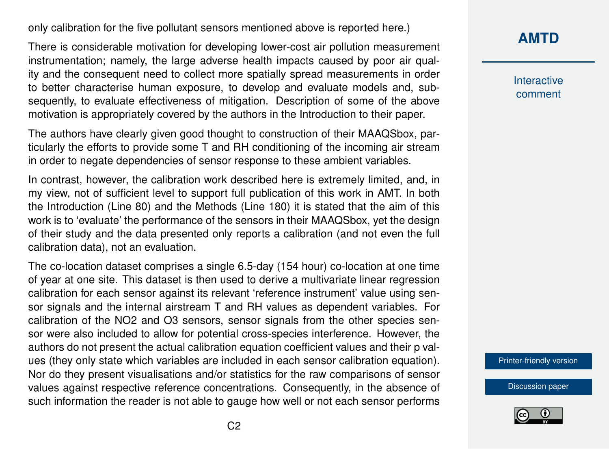only calibration for the five pollutant sensors mentioned above is reported here.)

There is considerable motivation for developing lower-cost air pollution measurement instrumentation; namely, the large adverse health impacts caused by poor air quality and the consequent need to collect more spatially spread measurements in order to better characterise human exposure, to develop and evaluate models and, subsequently, to evaluate effectiveness of mitigation. Description of some of the above motivation is appropriately covered by the authors in the Introduction to their paper.

The authors have clearly given good thought to construction of their MAAQSbox, particularly the efforts to provide some T and RH conditioning of the incoming air stream in order to negate dependencies of sensor response to these ambient variables.

In contrast, however, the calibration work described here is extremely limited, and, in my view, not of sufficient level to support full publication of this work in AMT. In both the Introduction (Line 80) and the Methods (Line 180) it is stated that the aim of this work is to 'evaluate' the performance of the sensors in their MAAQSbox, yet the design of their study and the data presented only reports a calibration (and not even the full calibration data), not an evaluation.

The co-location dataset comprises a single 6.5-day (154 hour) co-location at one time of year at one site. This dataset is then used to derive a multivariate linear regression calibration for each sensor against its relevant 'reference instrument' value using sensor signals and the internal airstream T and RH values as dependent variables. For calibration of the NO2 and O3 sensors, sensor signals from the other species sensor were also included to allow for potential cross-species interference. However, the authors do not present the actual calibration equation coefficient values and their p values (they only state which variables are included in each sensor calibration equation). Nor do they present visualisations and/or statistics for the raw comparisons of sensor values against respective reference concentrations. Consequently, in the absence of such information the reader is not able to gauge how well or not each sensor performs **[AMTD](https://www.atmos-meas-tech-discuss.net/)**

**Interactive** comment

[Printer-friendly version](https://www.atmos-meas-tech-discuss.net/amt-2019-299/amt-2019-299-RC1-print.pdf)

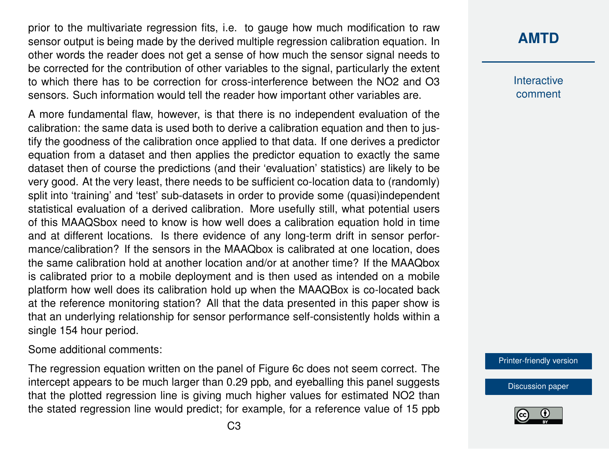prior to the multivariate regression fits, i.e. to gauge how much modification to raw sensor output is being made by the derived multiple regression calibration equation. In other words the reader does not get a sense of how much the sensor signal needs to be corrected for the contribution of other variables to the signal, particularly the extent to which there has to be correction for cross-interference between the NO2 and O3 sensors. Such information would tell the reader how important other variables are.

A more fundamental flaw, however, is that there is no independent evaluation of the calibration: the same data is used both to derive a calibration equation and then to justify the goodness of the calibration once applied to that data. If one derives a predictor equation from a dataset and then applies the predictor equation to exactly the same dataset then of course the predictions (and their 'evaluation' statistics) are likely to be very good. At the very least, there needs to be sufficient co-location data to (randomly) split into 'training' and 'test' sub-datasets in order to provide some (quasi)independent statistical evaluation of a derived calibration. More usefully still, what potential users of this MAAQSbox need to know is how well does a calibration equation hold in time and at different locations. Is there evidence of any long-term drift in sensor performance/calibration? If the sensors in the MAAQbox is calibrated at one location, does the same calibration hold at another location and/or at another time? If the MAAQbox is calibrated prior to a mobile deployment and is then used as intended on a mobile platform how well does its calibration hold up when the MAAQBox is co-located back at the reference monitoring station? All that the data presented in this paper show is that an underlying relationship for sensor performance self-consistently holds within a single 154 hour period.

Some additional comments:

The regression equation written on the panel of Figure 6c does not seem correct. The intercept appears to be much larger than 0.29 ppb, and eyeballing this panel suggests that the plotted regression line is giving much higher values for estimated NO2 than the stated regression line would predict; for example, for a reference value of 15 ppb

## **[AMTD](https://www.atmos-meas-tech-discuss.net/)**

**Interactive** comment

[Printer-friendly version](https://www.atmos-meas-tech-discuss.net/amt-2019-299/amt-2019-299-RC1-print.pdf)